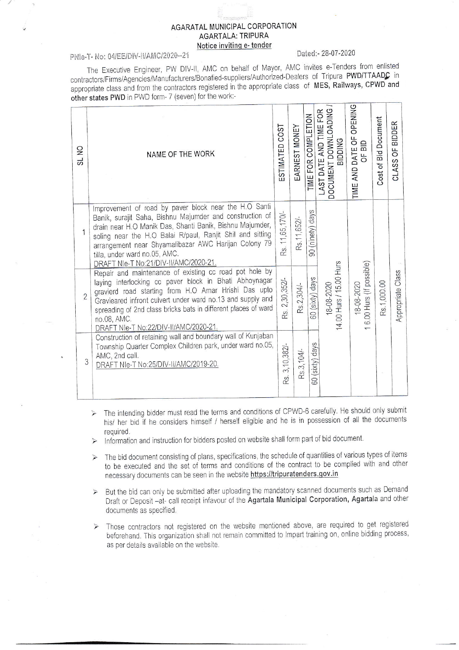## **AGARATAL MUNICIPAL CORPORATION AGARTALA: TRIPURA** Notice inviting e- tender

## PNIe-T- No: 04/EE/DIV-II/AMC/2020--21

## Dated: - 28-07-2020

The Executive Engineer, PW DIV-II, AMC on behalf of Mayor, AMC invites e-Tenders from enlisted contractors/Firms/Agencies/Manufacturers/Bonafied-suppliers/Authorized-Dealers of Tripura PWD/TTAADC in appropriate class and from the contractors registered in the appropriate class of MES, Railways, CPWD and other states PWD in PWD form- 7 (seven) for the work:-

|                     | $\frac{1}{2}$<br>ದ                                                                                                                                                                   | NAME OF THE WORK                                                                                                                                                                                                                                                                                                                                                             | ESTIMATED COST     | EARNEST MONEY   | TIME FOR COMPLETION | LAST DATE AND TIME FOR<br> DOCUMENT DOWNLOADING /<br> BIDDING | OPENING<br>TIME AND DATE OF<br>OF BID | <b>Bid Document</b><br>Cost of | CLASS OF BIDDER   |  |
|---------------------|--------------------------------------------------------------------------------------------------------------------------------------------------------------------------------------|------------------------------------------------------------------------------------------------------------------------------------------------------------------------------------------------------------------------------------------------------------------------------------------------------------------------------------------------------------------------------|--------------------|-----------------|---------------------|---------------------------------------------------------------|---------------------------------------|--------------------------------|-------------------|--|
|                     | 1                                                                                                                                                                                    | Improvement of road by paver block near the H.O Santi<br>Banik, surajit Saha, Bishnu Majumder and construction of<br>drain near H.O Manik Das, Shanti Banik, Bishnu Majumder,<br>soling near the H.O Balai R/paul, Ranjit Shil and sitting<br>arrangement near Shyamalibazar AWC Harijan Colony 79<br>tilla, under ward no.05, AMC.<br>DRAFT NIe-T No:21/DIV-II/AMC/2020-21. | 11,65,170/-<br>Rs. | Rs.11,652/      | 90 (ninety) days    |                                                               |                                       | Rs.1,000.00                    | Appropriate Class |  |
| $\overline{2}$<br>3 |                                                                                                                                                                                      | Repair and maintenance of existing cc road pot hole by<br>laying interlocking cc paver block in Bhati Abhoynagar<br>gravierd road starting from H.O Amar Hrishi Das upto<br>Gravieared infront culvert under ward no.13 and supply and<br>spreading of 2nd class bricks bats in different places of ward<br>no.08, AMC.<br>DRAFT NIe-T No:22/DIV-II/AMC/2020-21.             | 2,30,352/-<br>Rs.  | Rs.2,304/-      | 60 (sixty) days     | 14.00 Hurs / 15.00 Hurs<br>18-08-2020                         | 6.00 Hurs (If possible)<br>18-08-2020 |                                |                   |  |
|                     | Construction of retaining wall and boundary wall of Kunjaban<br>Township Quarter Complex Children park, under ward no.05,<br>AMC, 2nd call.<br>DRAFT NIe-T No:25/DIV-II/AMC/2019-20. | 3, 10, 382/-<br>Rs.                                                                                                                                                                                                                                                                                                                                                          | Rs.3, 104/-        | 60 (sixty) days |                     |                                                               |                                       |                                |                   |  |

- > The intending bidder must read the terms and conditions of CPWD-6 carefully. He should only submit his/ her bid if he considers himself / herself eligible and he is in possession of all the documents required.
- Information and instruction for bidders posted on website shall form part of bid document.  $\blacktriangleright$
- $\triangleright$  The bid document consisting of plans, specifications, the schedule of quantities of various types of items to be executed and the set of terms and conditions of the contract to be complied with and other necessary documents can be seen in the website https://tripuratenders.gov.in
- $\triangleright$  But the bid can only be submitted after uploading the mandatory scanned documents such as Demand Draft or Deposit -at- call receipt infavour of the Agartala Municipal Corporation, Agartala and other documents as specified.
- > Those contractors not registered on the website mentioned above, are required to get registered beforehand. This organization shall not remain committed to Impart training on, online bidding process, as per details available on the website.